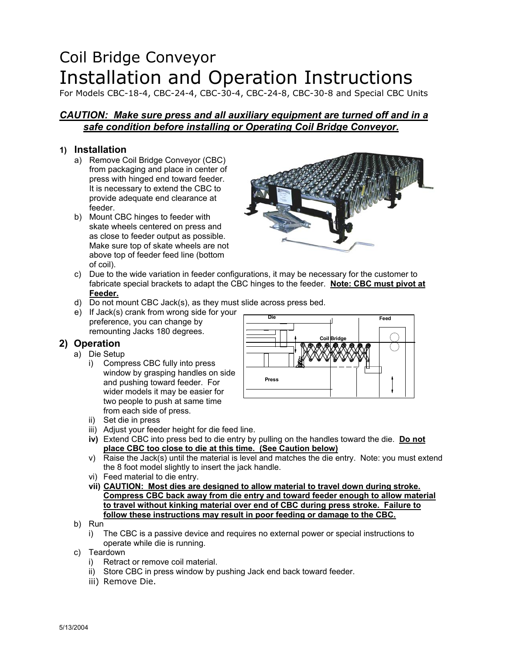# Coil Bridge Conveyor Installation and Operation Instructions

For Models CBC-18-4, CBC-24-4, CBC-30-4, CBC-24-8, CBC-30-8 and Special CBC Units

## *CAUTION: Make sure press and all auxiliary equipment are turned off and in a safe condition before installing or Operating Coil Bridge Conveyor.*

## **1) Installation**

- a) Remove Coil Bridge Conveyor (CBC) from packaging and place in center of press with hinged end toward feeder. It is necessary to extend the CBC to provide adequate end clearance at feeder.
- b) Mount CBC hinges to feeder with skate wheels centered on press and as close to feeder output as possible. Make sure top of skate wheels are not above top of feeder feed line (bottom of coil).



- c) Due to the wide variation in feeder configurations, it may be necessary for the customer to fabricate special brackets to adapt the CBC hinges to the feeder. **Note: CBC must pivot at Feeder.**
- d) Do not mount CBC Jack(s), as they must slide across press bed.
- e) If Jack(s) crank from wrong side for your preference, you can change by remounting Jacks 180 degrees.

## **2) Operation**

- a) Die Setup
	- i) Compress CBC fully into press window by grasping handles on side and pushing toward feeder. For wider models it may be easier for two people to push at same time from each side of press.
	- ii) Set die in press
	- iii) Adjust your feeder height for die feed line.
	- **iv)** Extend CBC into press bed to die entry by pulling on the handles toward the die. **Do not place CBC too close to die at this time. (See Caution below)**
	- v) Raise the Jack(s) until the material is level and matches the die entry. Note: you must extend the 8 foot model slightly to insert the jack handle.
	- vi) Feed material to die entry.
	- **vii) CAUTION: Most dies are designed to allow material to travel down during stroke. Compress CBC back away from die entry and toward feeder enough to allow material to travel without kinking material over end of CBC during press stroke. Failure to follow these instructions may result in poor feeding or damage to the CBC.**
- b) Run
	- i) The CBC is a passive device and requires no external power or special instructions to operate while die is running.
- c) Teardown
	- i) Retract or remove coil material.
	- ii) Store CBC in press window by pushing Jack end back toward feeder.
	- iii) Remove Die.